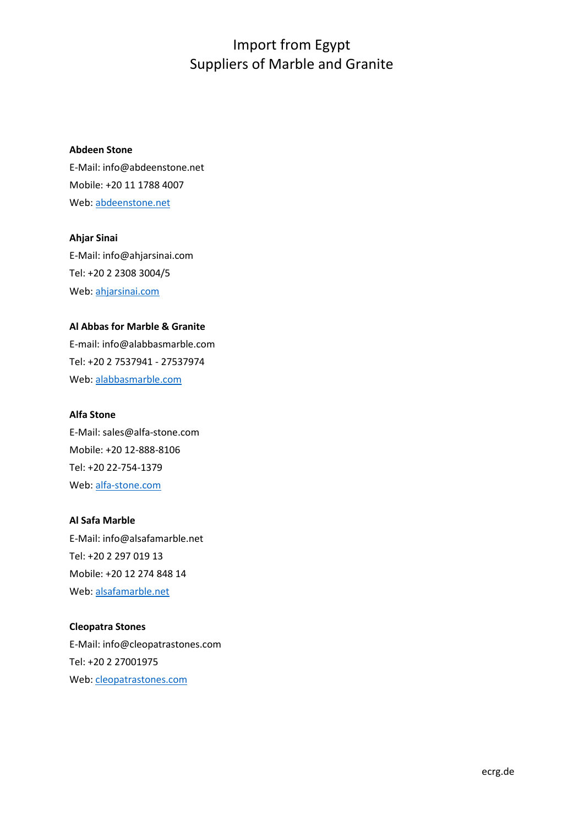## **Abdeen Stone**

E-Mail: info@abdeenstone.net Mobile: +20 11 1788 4007 Web: [abdeenstone.net](http://abdeenstone.net/)

**Ahjar Sinai** E-Mail: info@ahjarsinai.com Tel: +20 2 2308 3004/5 Web: [ahjarsinai.com](http://ahjarsinai.com/)

## **Al Abbas for Marble & Granite**

E-mail: info@alabbasmarble.com Tel: +20 2 7537941 - 27537974 Web: [alabbasmarble.com](http://alabbasmarble.com/)

#### **Alfa Stone**

E-Mail[: sales@alfa-stone.com](mailto:sales@alfa-stone.com) Mobile: +20 12-888-8106 Tel: +20 22-754-1379 Web: [alfa-stone.com](http://alfa-stone.com/)

## **Al Safa Marble**

E-Mail[: info@alsafamarble.net](mailto:info@alsafamarble.net) Tel: +20 2 297 019 13 Mobile: +20 12 274 848 14 Web: [alsafamarble.net](http://alsafamarble.net/)

## **Cleopatra Stones**

E-Mail: info@cleopatrastones.com Tel: +20 2 27001975 Web: [cleopatrastones.com](http://cleopatrastones.com/)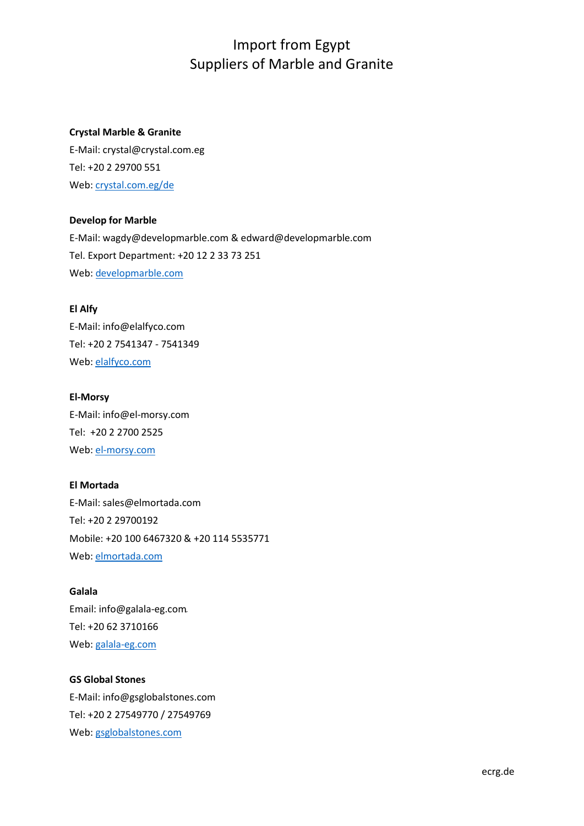## **Crystal Marble & Granite**

E-Mail[: crystal@crystal.com.eg](mailto:crystal@crystal.com.eg) Tel: +20 2 29700 551 Web: [crystal.com.eg/de](http://www.crystal.com.eg/de/)

## **Develop for Marble**

E-Mail: wagdy@developmarble.com [& edward@developmarble.com](mailto:edward@developmarble.com) Tel. Export Department: +20 12 2 33 73 251 Web: [developmarble.com](http://developmarble.com/)

#### **El Alfy**

E-Mail: info@elalfyco.com Tel: +20 2 7541347 - 7541349 Web: [elalfyco.com](http://elalfyco.com/)

#### **El-Morsy**

E-Mail[: info@el-morsy.com](mailto:info@el-morsy.com) Tel: +20 2 2700 2525 Web: [el-morsy.com](http://el-morsy.com/)

#### **El Mortada**

E-Mail[: sales@elmortada.com](mailto:sales@elmortada.com) Tel: +20 2 29700192 Mobile: +20 100 6467320 & +20 114 5535771 Web: [elmortada.com](http://www.elmortada.com/)

#### **Galala**

Email: info@galala-eg.comِ Tel: +20 62 3710166 Web: [galala-eg.com](http://galala-eg.com/)

#### **GS Global Stones**

E-Mail: [info@gsglobalstones.com](mailto:info@gsglobalstones.com) Tel: +20 2 27549770 / 27549769 Web: [gsglobalstones.com](http://gsglobalstones.com/)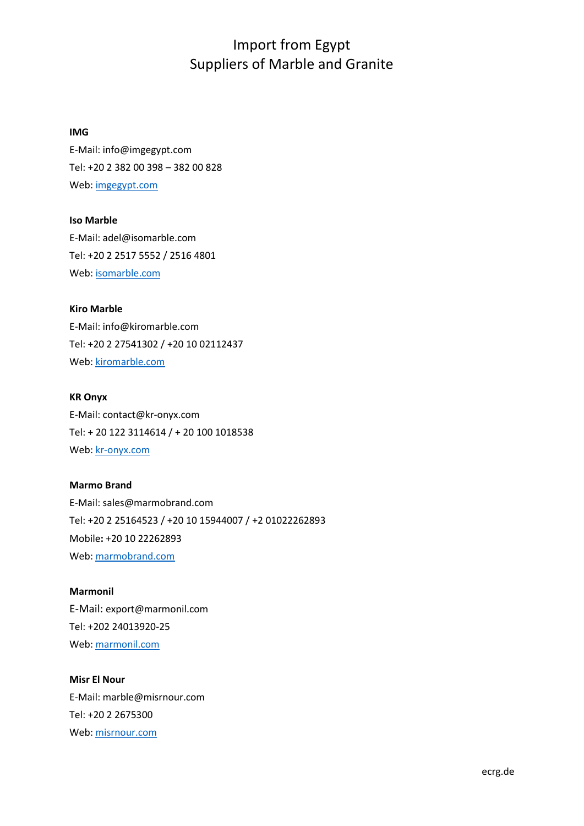#### **IMG**

E-Mail[: info@imgegypt.com](mailto:info@imgegypt.com) Tel: +20 2 382 00 398 – 382 00 828 Web: [imgegypt.com](http://imgegypt.com/)

## **Iso Marble**

E-Mail: adel@isomarble.com Tel: +20 2 2517 5552 / 2516 4801 Web: [isomarble.com](http://isomarble.com/English/About-Us)

## **Kiro Marble**

E-Mail: info@kiromarble.com Tel: +20 2 27541302 / +20 10 02112437 Web: [kiromarble.com](http://kiromarble.com/)

#### **KR Onyx**

E-Mail: contact@kr-onyx.com Tel: + 20 122 3114614 / + 20 100 1018538 Web: [kr-onyx.com](http://kr-onyx.com/)

## **Marmo Brand**

E-Mail[: sales@marmobrand.com](mailto:sales@marmobrand.com) Tel: +20 2 25164523 / +20 10 15944007 / +2 01022262893 Mobile**:** +20 10 22262893 Web: [marmobrand.com](http://marmobrand.com/)

## **Marmonil**

E-Mail: export@marmonil.com Tel: +202 24013920-25 Web: [marmonil.com](http://marmonil.com/)

## **Misr El Nour**

E-Mail[: marble@misrnour.com](mailto:marble@misrnour.com) Tel: +20 2 2675300 Web: [misrnour.com](http://www.misrnour.com/index.php/marble/product)